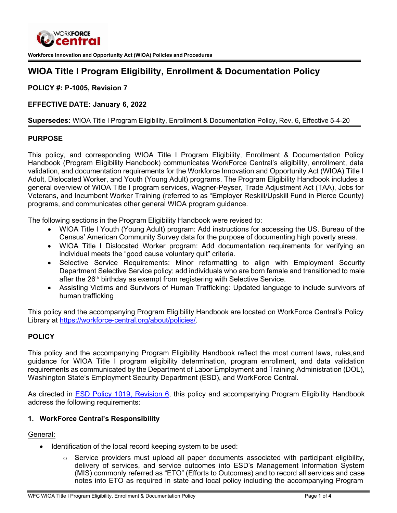

**Workforce Innovation and Opportunity Act (WIOA) Policies and Procedures**

# **WIOA Title I Program Eligibility, Enrollment & Documentation Policy**

**POLICY #: P-1005, Revision 7**

## **EFFECTIVE DATE: January 6, 2022**

#### **Supersedes:** WIOA Title I Program Eligibility, Enrollment & Documentation Policy, Rev. 6, Effective 5-4-20

#### **PURPOSE**

This policy, and corresponding WIOA Title I Program Eligibility, Enrollment & Documentation Policy Handbook (Program Eligibility Handbook) communicates WorkForce Central's eligibility, enrollment, data validation, and documentation requirements for the Workforce Innovation and Opportunity Act (WIOA) Title I Adult, Dislocated Worker, and Youth (Young Adult) programs. The Program Eligibility Handbook includes a general overview of WIOA Title I program services, Wagner-Peyser, Trade Adjustment Act (TAA), Jobs for Veterans, and Incumbent Worker Training (referred to as "Employer Reskill/Upskill Fund in Pierce County) programs, and communicates other general WIOA program guidance.

The following sections in the Program Eligibility Handbook were revised to:

- WIOA Title I Youth (Young Adult) program: Add instructions for accessing the US. Bureau of the Census' American Community Survey data for the purpose of documenting high poverty areas.
- WIOA Title I Dislocated Worker program: Add documentation requirements for verifying an individual meets the "good cause voluntary quit" criteria.
- Selective Service Requirements: Minor reformatting to align with Employment Security Department Selective Service policy; add individuals who are born female and transitioned to male after the 26<sup>th</sup> birthday as exempt from registering with Selective Service.
- Assisting Victims and Survivors of Human Trafficking: Updated language to include survivors of human trafficking

This policy and the accompanying Program Eligibility Handbook are located on WorkForce Central's Policy Library at [https://workforce-central.org/about/policies/.](https://workforce-central.org/about/policies/)

## **POLICY**

This policy and the accompanying Program Eligibility Handbook reflect the most current laws, rules,and guidance for WIOA Title I program eligibility determination, program enrollment, and data validation requirements as communicated by the Department of Labor Employment and Training Administration (DOL), Washington State's Employment Security Department (ESD), and WorkForce Central.

As directed in [ESD Policy 1019, Revision 6,](https://storemultisites.blob.core.windows.net/media/WPC/adm/policy/1019-6.pdf) this policy and accompanying Program Eligibility Handbook address the following requirements:

## **1. WorkForce Central's Responsibility**

#### General:

- Identification of the local record keeping system to be used:
	- $\circ$  Service providers must upload all paper documents associated with participant eligibility, delivery of services, and service outcomes into ESD's Management Information System (MIS) commonly referred as "ETO" (Efforts to Outcomes) and to record all services and case notes into ETO as required in state and local policy including the accompanying Program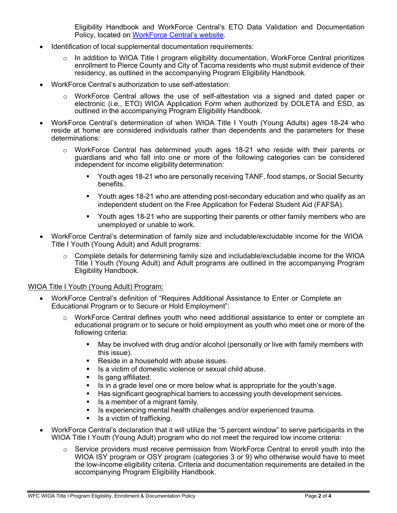Eligibility Handbook and WorkForce Central's ETO Data Validation and Documentation Policy, located on [WorkForce](https://workforce-central.org/about/policies/) Central's website.

- Identification of local supplemental documentation requirements:
	- o In addition to WIOA Title I program eligibility documentation, WorkForce Central prioritizes enrollment to Pierce County and City of Tacoma residents who must submit evidence of their residency, as outlined in the accompanying Program Eligibility Handbook.
- WorkForce Central's authorization to use self-attestation:
	- o WorkForce Central allows the use of self-attestation via a signed and dated paper or electronic (i.e., ETO) WIOA Application Form when authorized by DOLETA and ESD, as outlined in the accompanying Program Eligibility Handbook.
- WorkForce Central's determination of when WIOA Title I Youth (Young Adults) ages 18-24 who reside at home are considered individuals rather than dependents and the parameters for these determinations:
	- o WorkForce Central has determined youth ages 18-21 who reside with their parents or guardians and who fall into one or more of the following categories can be considered independent for income eligibility determination:
		- Youth ages 18-21 who are personally receiving TANF, food stamps, or Social Security benefits.
		- Youth ages 18-21 who are attending post-secondary education and who qualify as an independent student on the Free Application for Federal Student Aid (FAFSA).
		- Youth ages 18-21 who are supporting their parents or other family members who are unemployed or unable to work.
- WorkForce Central's determination of family size and includable/excludable income for the WIOA Title I Youth (Young Adult) and Adult programs:
	- $\circ$  Complete details for determining family size and includable/excludable income for the WIOA Title I Youth (Young Adult) and Adult programs are outlined in the accompanying Program Eligibility Handbook.

## WIOA Title I Youth (Young Adult) Program:

- WorkForce Central's definition of "Requires Additional Assistance to Enter or Complete an Educational Program or to Secure or Hold Employment":
	- $\circ$  WorkForce Central defines youth who need additional assistance to enter or complete an educational program or to secure or hold employment as youth who meet one or more of the following criteria:
		- May be involved with drug and/or alcohol (personally or live with family members with this issue).
		- Reside in a household with abuse issues.
		- Is a victim of domestic violence or sexual child abuse.
		- **If** Is gang affiliated.
		- Is in a grade level one or more below what is appropriate for the youth's age.
		- Has significant geographical barriers to accessing youth development services.
		- Is a member of a migrant family.
		- **IS experiencing mental health challenges and/or experienced trauma.**
		- $\blacksquare$  Is a victim of trafficking.
- WorkForce Central's declaration that it will utilize the "5 percent window" to serve participants in the WIOA Title I Youth (Young Adult) program who do not meet the required low income criteria:
	- $\circ$  Service providers must receive permission from WorkForce Central to enroll youth into the WIOA ISY program or OSY program (categories 3 or 9) who otherwise would have to meet the low-income eligibility criteria. Criteria and documentation requirements are detailed in the accompanying Program Eligibility Handbook.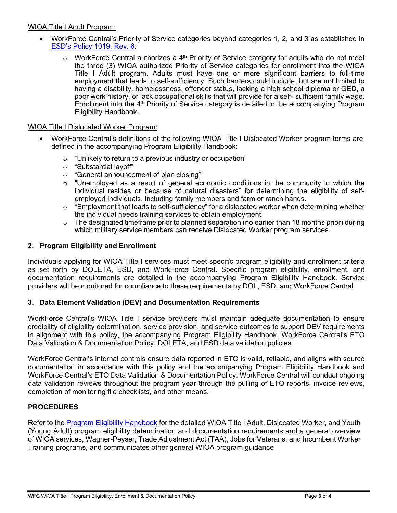## WIOA Title I Adult Program:

- WorkForce Central's Priority of Service categories beyond categories 1, 2, and 3 as established in [ESD's Policy](https://storemultisites.blob.core.windows.net/media/WPC/adm/policy/1019-6.pdf) 1019, Rev. 6:
	- $\circ$  WorkForce Central authorizes a 4<sup>th</sup> Priority of Service category for adults who do not meet the three (3) WIOA authorized Priority of Service categories for enrollment into the WIOA Title I Adult program. Adults must have one or more significant barriers to full-time employment that leads to self-sufficiency. Such barriers could include, but are not limited to having a disability, homelessness, offender status, lacking a high school diploma or GED, a poor work history, or lack occupational skills that will provide for a self- sufficient family wage. Enrollment into the 4th Priority of Service category is detailed in the accompanying Program Eligibility Handbook.

#### WIOA Title I Dislocated Worker Program:

- WorkForce Central's definitions of the following WIOA Title I Dislocated Worker program terms are defined in the accompanying Program Eligibility Handbook:
	- $\circ$  "Unlikely to return to a previous industry or occupation"<br> $\circ$  "Substantial layoff"
	- "Substantial layoff"
	- o "General announcement of plan closing"
	- $\circ$  "Unemployed as a result of general economic conditions in the community in which the individual resides or because of natural disasters" for determining the eligibility of selfemployed individuals, including family members and farm or ranch hands.
	- o "Employment that leads to self-sufficiency" for a dislocated worker when determining whether the individual needs training services to obtain employment.
	- $\circ$  The designated timeframe prior to planned separation (no earlier than 18 months prior) during which military service members can receive Dislocated Worker program services.

#### **2. Program Eligibility and Enrollment**

Individuals applying for WIOA Title I services must meet specific program eligibility and enrollment criteria as set forth by DOLETA, ESD, and WorkForce Central. Specific program eligibility, enrollment, and documentation requirements are detailed in the accompanying [Program Eligibility Handbook.](https://workforce-central.org/about/policies/) Service providers will be monitored for compliance to these requirements by DOL, ESD, and WorkForce Central.

## **3. Data Element Validation (DEV) and Documentation Requirements**

WorkForce Central's WIOA Title I service providers must maintain adequate documentation to ensure credibility of eligibility determination, service provision, and service outcomes to support DEV requirements in alignment with this policy, the accompanying Program Eligibility Handbook, WorkForce Central's ETO Data Validation & Documentation Policy, DOLETA, and ESD data validation policies.

WorkForce Central's internal controls ensure data reported in ETO is valid, reliable, and aligns with source documentation in accordance with this policy and the accompanying Program Eligibility Handbook and WorkForce Central's ETO Data Validation & Documentation Policy. WorkForce Central will conduct ongoing data validation reviews throughout the program year through the pulling of ETO reports, invoice reviews, completion of monitoring file checklists, and other means.

## **PROCEDURES**

Refer to the Program Eligibility [Handbook](https://workforce-central.org/about/policies/) for the detailed WIOA Title I Adult, Dislocated Worker, and Youth (Young Adult) program eligibility determination and documentation requirements and a general overview of WIOA services, Wagner-Peyser, Trade Adjustment Act (TAA), Jobs for Veterans, and Incumbent Worker Training programs, and communicates other general WIOA program guidance